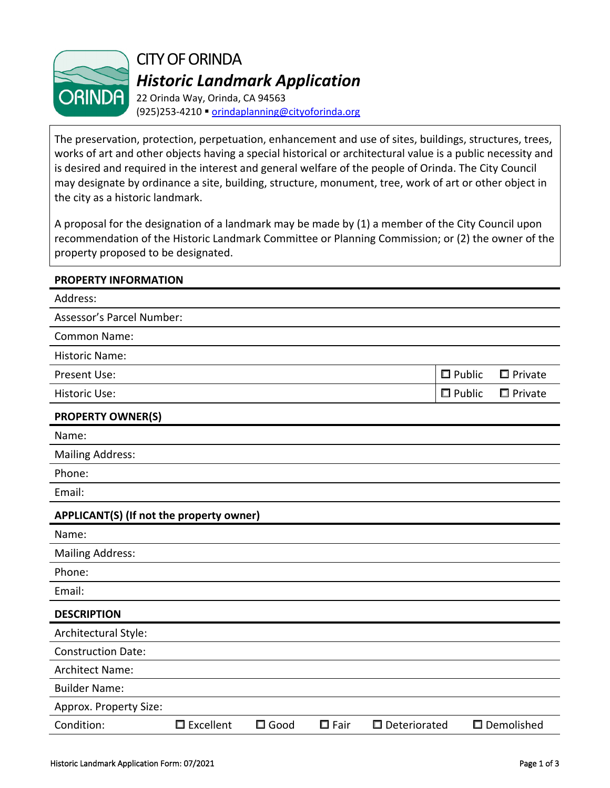

CITY OF ORINDA *Historic Landmark Application*

22 Orinda Way, Orinda, CA 94563 (925)253-4210 [orindaplanning@cityoforinda.org](mailto:orindaplanning@cityoforinda.org)

The preservation, protection, perpetuation, enhancement and use of sites, buildings, structures, trees, works of art and other objects having a special historical or architectural value is a public necessity and is desired and required in the interest and general welfare of the people of Orinda. The City Council may designate by ordinance a site, building, structure, monument, tree, work of art or other object in the city as a historic landmark.

A proposal for the designation of a landmark may be made by (1) a member of the City Council upon recommendation of the Historic Landmark Committee or Planning Commission; or (2) the owner of the property proposed to be designated.

# **PROPERTY INFORMATION**

| Address:                                 |             |                |                |                        |                  |                   |
|------------------------------------------|-------------|----------------|----------------|------------------------|------------------|-------------------|
| Assessor's Parcel Number:                |             |                |                |                        |                  |                   |
| <b>Common Name:</b>                      |             |                |                |                        |                  |                   |
| <b>Historic Name:</b>                    |             |                |                |                        |                  |                   |
| Present Use:                             |             |                |                |                        | $\square$ Public | $\square$ Private |
| <b>Historic Use:</b>                     |             |                |                |                        | $\Box$ Public    | $\Box$ Private    |
| <b>PROPERTY OWNER(S)</b>                 |             |                |                |                        |                  |                   |
| Name:                                    |             |                |                |                        |                  |                   |
| <b>Mailing Address:</b>                  |             |                |                |                        |                  |                   |
| Phone:                                   |             |                |                |                        |                  |                   |
| Email:                                   |             |                |                |                        |                  |                   |
| APPLICANT(S) (If not the property owner) |             |                |                |                        |                  |                   |
| Name:                                    |             |                |                |                        |                  |                   |
| <b>Mailing Address:</b>                  |             |                |                |                        |                  |                   |
| Phone:                                   |             |                |                |                        |                  |                   |
| Email:                                   |             |                |                |                        |                  |                   |
| <b>DESCRIPTION</b>                       |             |                |                |                        |                  |                   |
| Architectural Style:                     |             |                |                |                        |                  |                   |
| <b>Construction Date:</b>                |             |                |                |                        |                  |                   |
| <b>Architect Name:</b>                   |             |                |                |                        |                  |                   |
| <b>Builder Name:</b>                     |             |                |                |                        |                  |                   |
| Approx. Property Size:                   |             |                |                |                        |                  |                   |
| Condition:                               | □ Excellent | $\square$ Good | $\square$ Fair | $\square$ Deteriorated |                  | □ Demolished      |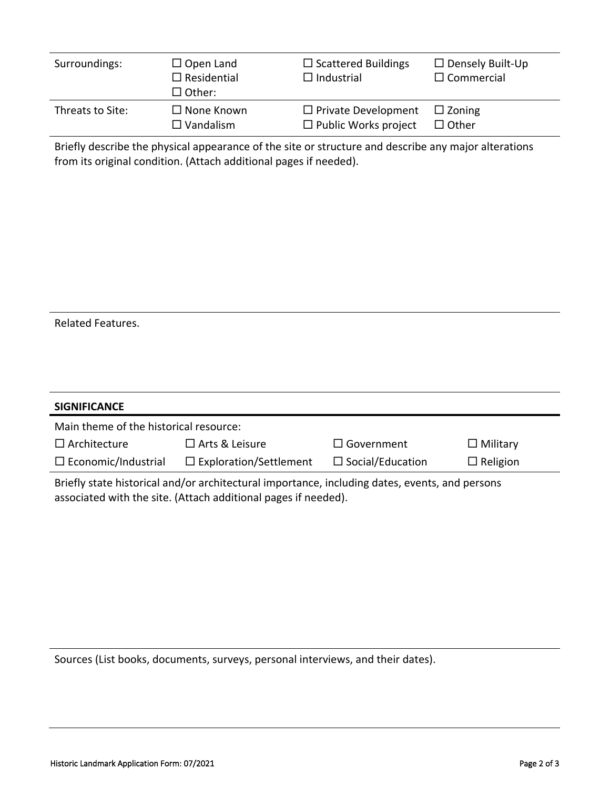| Surroundings:    | $\Box$ Open Land<br>$\Box$ Residential<br>$\Box$ Other: | $\Box$ Scattered Buildings<br>$\Box$ Industrial | $\Box$ Densely Built-Up<br>$\Box$ Commercial |
|------------------|---------------------------------------------------------|-------------------------------------------------|----------------------------------------------|
| Threats to Site: | $\Box$ None Known                                       | $\Box$ Private Development                      | $\square$ Zoning                             |
|                  | $\Box$ Vandalism                                        | $\Box$ Public Works project                     | $\Box$ Other                                 |

Briefly describe the physical appearance of the site or structure and describe any major alterations from its original condition. (Attach additional pages if needed).

|  | <b>Related Features.</b> |
|--|--------------------------|
|--|--------------------------|

| <b>SIGNIFICANCE</b>                                                                            |                               |                         |                 |  |  |
|------------------------------------------------------------------------------------------------|-------------------------------|-------------------------|-----------------|--|--|
| Main theme of the historical resource:                                                         |                               |                         |                 |  |  |
| $\Box$ Architecture                                                                            | $\Box$ Arts & Leisure         | $\Box$ Government       | $\Box$ Military |  |  |
| $\Box$ Economic/Industrial                                                                     | $\Box$ Exploration/Settlement | $\Box$ Social/Education | $\Box$ Religion |  |  |
| Briefly state historical and/or architectural importance, including dates, events, and persons |                               |                         |                 |  |  |

associated with the site. (Attach additional pages if needed).

Sources (List books, documents, surveys, personal interviews, and their dates).